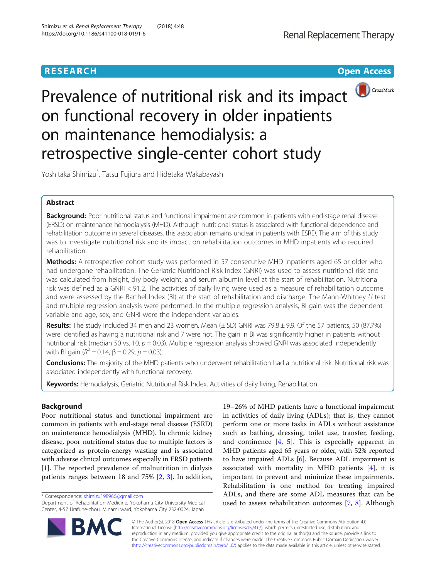

# Prevalence of nutritional risk and its impact on functional recovery in older inpatients on maintenance hemodialysis: a retrospective single-center cohort study

Yoshitaka Shimizu\* , Tatsu Fujiura and Hidetaka Wakabayashi

# Abstract

Background: Poor nutritional status and functional impairment are common in patients with end-stage renal disease (ERSD) on maintenance hemodialysis (MHD). Although nutritional status is associated with functional dependence and rehabilitation outcome in several diseases, this association remains unclear in patients with ESRD. The aim of this study was to investigate nutritional risk and its impact on rehabilitation outcomes in MHD inpatients who required rehabilitation.

Methods: A retrospective cohort study was performed in 57 consecutive MHD inpatients aged 65 or older who had undergone rehabilitation. The Geriatric Nutritional Risk Index (GNRI) was used to assess nutritional risk and was calculated from height, dry body weight, and serum albumin level at the start of rehabilitation. Nutritional risk was defined as a GNRI < 91.2. The activities of daily living were used as a measure of rehabilitation outcome and were assessed by the Barthel Index (BI) at the start of rehabilitation and discharge. The Mann-Whitney U test and multiple regression analysis were performed. In the multiple regression analysis, BI gain was the dependent variable and age, sex, and GNRI were the independent variables.

**Results:** The study included 34 men and 23 women. Mean  $(\pm$  SD) GNRI was 79.8  $\pm$  9.9. Of the 57 patients, 50 (87.7%) were identified as having a nutritional risk and 7 were not. The gain in BI was significantly higher in patients without nutritional risk (median 50 vs. 10,  $p = 0.03$ ). Multiple regression analysis showed GNRI was associated independently with BI gain ( $R^2 = 0.14$ ,  $\beta = 0.29$ ,  $p = 0.03$ ).

Conclusions: The majority of the MHD patients who underwent rehabilitation had a nutritional risk. Nutritional risk was associated independently with functional recovery.

Keywords: Hemodialysis, Geriatric Nutritional Risk Index, Activities of daily living, Rehabilitation

## Background

Poor nutritional status and functional impairment are common in patients with end-stage renal disease (ESRD) on maintenance hemodialysis (MHD). In chronic kidney disease, poor nutritional status due to multiple factors is categorized as protein-energy wasting and is associated with adverse clinical outcomes especially in ERSD patients [[1\]](#page-4-0). The reported prevalence of malnutrition in dialysis patients ranges between 18 and 75% [[2](#page-4-0), [3\]](#page-4-0). In addition,

\* Correspondence: [shimizu198966@gmail.com](mailto:shimizu198966@gmail.com)

BA

Department of Rehabilitation Medicine, Yokohama City University Medical Center, 4-57 Urafune-chou, Minami ward, Yokohama City 232-0024, Japan



© The Author(s). 2018 Open Access This article is distributed under the terms of the Creative Commons Attribution 4.0 International License [\(http://creativecommons.org/licenses/by/4.0/](http://creativecommons.org/licenses/by/4.0/)), which permits unrestricted use, distribution, and reproduction in any medium, provided you give appropriate credit to the original author(s) and the source, provide a link to the Creative Commons license, and indicate if changes were made. The Creative Commons Public Domain Dedication waiver [\(http://creativecommons.org/publicdomain/zero/1.0/](http://creativecommons.org/publicdomain/zero/1.0/)) applies to the data made available in this article, unless otherwise stated.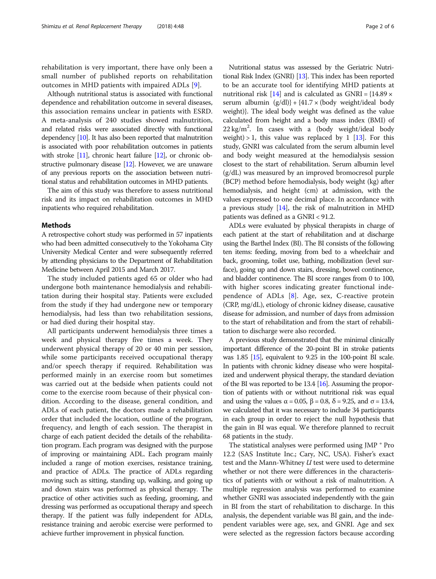rehabilitation is very important, there have only been a small number of published reports on rehabilitation outcomes in MHD patients with impaired ADLs [[9\]](#page-4-0).

Although nutritional status is associated with functional dependence and rehabilitation outcome in several diseases, this association remains unclear in patients with ESRD. A meta-analysis of 240 studies showed malnutrition, and related risks were associated directly with functional dependency [\[10\]](#page-4-0). It has also been reported that malnutrition is associated with poor rehabilitation outcomes in patients with stroke [\[11](#page-4-0)], chronic heart failure [[12](#page-4-0)], or chronic obstructive pulmonary disease [\[12\]](#page-4-0). However, we are unaware of any previous reports on the association between nutritional status and rehabilitation outcomes in MHD patients.

The aim of this study was therefore to assess nutritional risk and its impact on rehabilitation outcomes in MHD inpatients who required rehabilitation.

#### Methods

A retrospective cohort study was performed in 57 inpatients who had been admitted consecutively to the Yokohama City University Medical Center and were subsequently referred by attending physicians to the Department of Rehabilitation Medicine between April 2015 and March 2017.

The study included patients aged 65 or older who had undergone both maintenance hemodialysis and rehabilitation during their hospital stay. Patients were excluded from the study if they had undergone new or temporary hemodialysis, had less than two rehabilitation sessions, or had died during their hospital stay.

All participants underwent hemodialysis three times a week and physical therapy five times a week. They underwent physical therapy of 20 or 40 min per session, while some participants received occupational therapy and/or speech therapy if required. Rehabilitation was performed mainly in an exercise room but sometimes was carried out at the bedside when patients could not come to the exercise room because of their physical condition. According to the disease, general condition, and ADLs of each patient, the doctors made a rehabilitation order that included the location, outline of the program, frequency, and length of each session. The therapist in charge of each patient decided the details of the rehabilitation program. Each program was designed with the purpose of improving or maintaining ADL. Each program mainly included a range of motion exercises, resistance training, and practice of ADLs. The practice of ADLs regarding moving such as sitting, standing up, walking, and going up and down stairs was performed as physical therapy. The practice of other activities such as feeding, grooming, and dressing was performed as occupational therapy and speech therapy. If the patient was fully independent for ADLs, resistance training and aerobic exercise were performed to achieve further improvement in physical function.

Nutritional status was assessed by the Geriatric Nutritional Risk Index (GNRI) [[13](#page-4-0)]. This index has been reported to be an accurate tool for identifying MHD patients at nutritional risk [[14](#page-4-0)] and is calculated as  $GNRI = \{14.89 \times$ serum albumin  $(g/dl)$ } + {41.7 × (body weight/ideal body weight)}. The ideal body weight was defined as the value calculated from height and a body mass index (BMI) of  $22 \text{ kg/m}^2$ . In cases with a (body weight/ideal body weight) > 1, this value was replaced by 1 [[13](#page-4-0)]. For this study, GNRI was calculated from the serum albumin level and body weight measured at the hemodialysis session closest to the start of rehabilitation. Serum albumin level (g/dL) was measured by an improved bromocresol purple (BCP) method before hemodialysis, body weight (kg) after hemodialysis, and height (cm) at admission, with the values expressed to one decimal place. In accordance with a previous study [[14](#page-4-0)], the risk of malnutrition in MHD patients was defined as a GNRI < 91.2.

ADLs were evaluated by physical therapists in charge of each patient at the start of rehabilitation and at discharge using the Barthel Index (BI). The BI consists of the following ten items: feeding, moving from bed to a wheelchair and back, grooming, toilet use, bathing, mobilization (level surface), going up and down stairs, dressing, bowel continence, and bladder continence. The BI score ranges from 0 to 100, with higher scores indicating greater functional independence of ADLs  $[8]$  $[8]$ . Age, sex, C-reactive protein (CRP, mg/dL), etiology of chronic kidney disease, causative disease for admission, and number of days from admission to the start of rehabilitation and from the start of rehabilitation to discharge were also recorded.

A previous study demonstrated that the minimal clinically important difference of the 20-point BI in stroke patients was 1.85 [\[15\]](#page-5-0), equivalent to 9.25 in the 100-point BI scale. In patients with chronic kidney disease who were hospitalized and underwent physical therapy, the standard deviation of the BI was reported to be 13.4 [\[16](#page-5-0)]. Assuming the proportion of patients with or without nutritional risk was equal and using the values  $\alpha = 0.05$ ,  $\beta = 0.8$ ,  $\delta = 9.25$ , and  $\sigma = 13.4$ , we calculated that it was necessary to include 34 participants in each group in order to reject the null hypothesis that the gain in BI was equal. We therefore planned to recruit 68 patients in the study.

The statistical analyses were performed using JMP ® Pro 12.2 (SAS Institute Inc.; Cary, NC, USA). Fisher's exact test and the Mann-Whitney U test were used to determine whether or not there were differences in the characteristics of patients with or without a risk of malnutrition. A multiple regression analysis was performed to examine whether GNRI was associated independently with the gain in BI from the start of rehabilitation to discharge. In this analysis, the dependent variable was BI gain, and the independent variables were age, sex, and GNRI. Age and sex were selected as the regression factors because according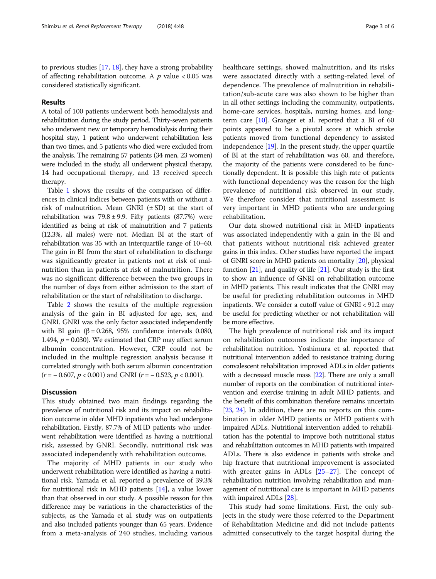### Results

A total of 100 patients underwent both hemodialysis and rehabilitation during the study period. Thirty-seven patients who underwent new or temporary hemodialysis during their hospital stay, 1 patient who underwent rehabilitation less than two times, and 5 patients who died were excluded from the analysis. The remaining 57 patients (34 men, 23 women) were included in the study; all underwent physical therapy, 14 had occupational therapy, and 13 received speech therapy.

Table [1](#page-3-0) shows the results of the comparison of differences in clinical indices between patients with or without a risk of malnutrition. Mean GNRI  $(\pm SD)$  at the start of rehabilitation was  $79.8 \pm 9.9$ . Fifty patients (87.7%) were identified as being at risk of malnutrition and 7 patients (12.3%, all males) were not. Median BI at the start of rehabilitation was 35 with an interquartile range of 10–60. The gain in BI from the start of rehabilitation to discharge was significantly greater in patients not at risk of malnutrition than in patients at risk of malnutrition. There was no significant difference between the two groups in the number of days from either admission to the start of rehabilitation or the start of rehabilitation to discharge.

Table [2](#page-4-0) shows the results of the multiple regression analysis of the gain in BI adjusted for age, sex, and GNRI. GNRI was the only factor associated independently with BI gain ( $β = 0.268$ , 95% confidence intervals 0.080, 1.494,  $p = 0.030$ ). We estimated that CRP may affect serum albumin concentration. However, CRP could not be included in the multiple regression analysis because it correlated strongly with both serum albumin concentration  $(r = -0.607, p < 0.001)$  and GNRI  $(r = -0.523, p < 0.001)$ .

### **Discussion**

This study obtained two main findings regarding the prevalence of nutritional risk and its impact on rehabilitation outcome in older MHD inpatients who had undergone rehabilitation. Firstly, 87.7% of MHD patients who underwent rehabilitation were identified as having a nutritional risk, assessed by GNRI. Secondly, nutritional risk was associated independently with rehabilitation outcome.

The majority of MHD patients in our study who underwent rehabilitation were identified as having a nutritional risk. Yamada et al. reported a prevalence of 39.3% for nutritional risk in MHD patients [\[14\]](#page-4-0), a value lower than that observed in our study. A possible reason for this difference may be variations in the characteristics of the subjects, as the Yamada et al. study was on outpatients and also included patients younger than 65 years. Evidence from a meta-analysis of 240 studies, including various healthcare settings, showed malnutrition, and its risks were associated directly with a setting-related level of dependence. The prevalence of malnutrition in rehabilitation/sub-acute care was also shown to be higher than in all other settings including the community, outpatients, home-care services, hospitals, nursing homes, and longterm care [[10](#page-4-0)]. Granger et al. reported that a BI of 60 points appeared to be a pivotal score at which stroke patients moved from functional dependency to assisted independence [\[19\]](#page-5-0). In the present study, the upper quartile of BI at the start of rehabilitation was 60, and therefore, the majority of the patients were considered to be functionally dependent. It is possible this high rate of patients with functional dependency was the reason for the high prevalence of nutritional risk observed in our study. We therefore consider that nutritional assessment is very important in MHD patients who are undergoing rehabilitation.

Our data showed nutritional risk in MHD inpatients was associated independently with a gain in the BI and that patients without nutritional risk achieved greater gains in this index. Other studies have reported the impact of GNRI score in MHD patients on mortality [[20](#page-5-0)], physical function  $[21]$  $[21]$ , and quality of life  $[21]$ . Our study is the first to show an influence of GNRI on rehabilitation outcome in MHD patients. This result indicates that the GNRI may be useful for predicting rehabilitation outcomes in MHD inpatients. We consider a cutoff value of GNRI < 91.2 may be useful for predicting whether or not rehabilitation will be more effective.

The high prevalence of nutritional risk and its impact on rehabilitation outcomes indicate the importance of rehabilitation nutrition. Yoshimura et al. reported that nutritional intervention added to resistance training during convalescent rehabilitation improved ADLs in older patients with a decreased muscle mass [[22](#page-5-0)]. There are only a small number of reports on the combination of nutritional intervention and exercise training in adult MHD patients, and the benefit of this combination therefore remains uncertain [[23](#page-5-0), [24\]](#page-5-0). In addition, there are no reports on this combination in older MHD patients or MHD patients with impaired ADLs. Nutritional intervention added to rehabilitation has the potential to improve both nutritional status and rehabilitation outcomes in MHD patients with impaired ADLs. There is also evidence in patients with stroke and hip fracture that nutritional improvement is associated with greater gains in ADLs [\[25](#page-5-0)–[27](#page-5-0)]. The concept of rehabilitation nutrition involving rehabilitation and management of nutritional care is important in MHD patients with impaired ADLs [\[28\]](#page-5-0).

This study had some limitations. First, the only subjects in the study were those referred to the Department of Rehabilitation Medicine and did not include patients admitted consecutively to the target hospital during the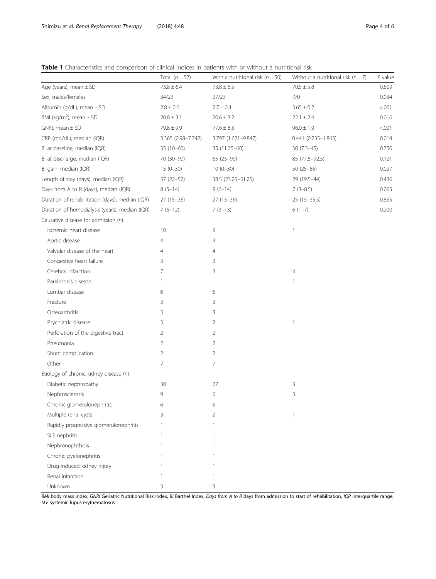<span id="page-3-0"></span>Table 1 Characteristics and comparison of clinical indices in patients with or without a nutritional risk

|                                                 | Total $(n = 57)$   | With a nutritional risk ( $n = 50$ ) | Without a nutritional risk ( $n = 7$ ) | $P$ value |
|-------------------------------------------------|--------------------|--------------------------------------|----------------------------------------|-----------|
| Age (years), mean $\pm$ SD                      | $73.8 \pm 6.4$     | $73.8 \pm 6.5$                       | $70.5 \pm 5.8$                         | 0.809     |
| Sex, males/females                              | 34/23              | 27/23                                | 7/0                                    | 0.034     |
| Albumin ( $g/dL$ ), mean $\pm$ SD               | $2.8 \pm 0.6$      | $2.7 \pm 0.4$                        | $3.65 \pm 0.2$                         | < .001    |
| BMI (kg/m <sup>2</sup> ), mean $\pm$ SD         | $20.8 \pm 3.1$     | $20.6 \pm 3.2$                       | $22.1 \pm 2.4$                         | 0.016     |
| $GNRI$ , mean $\pm$ SD                          | $79.8 \pm 9.9$     | $77.6 \pm 8.3$                       | $96.0 \pm 1.9$                         | < .001    |
| CRP (mg/dL), median (IQR)                       | 3.365 (0.98-7.742) | 3.797 (1.621-9.847)                  | $0.441(0.235 - 1.863)$                 | 0.014     |
| BI at baseline, median (IQR)                    | $35(10-60)$        | 35 (11.25-60)                        | $30(7.5-45)$                           | 0.750     |
| BI at discharge, median (IQR)                   | 70 (30-90)         | 65 (25-90)                           | 85 (77.5-92.5)                         | 0.121     |
| BI gain, median (IQR)                           | $15(0-30)$         | $10(0-30)$                           | $50(25-85)$                            | 0.027     |
| Length of stay (days), median (IQR)             | $37(22-52)$        | 38.5 (23.25-51.25)                   | 29 (19.5-44)                           | 0.436     |
| Days from A to R (days), median (IQR)           | $8(5-14)$          | $9(6-14)$                            | $7(3-8.5)$                             | 0.065     |
| Duration of rehabilitation (days), median (IQR) | $27(15-36)$        | $27(15-36)$                          | $25(15-35.5)$                          | 0.855     |
| Duration of hemodialysis (years), median (IQR)  | $7(6-12)$          | $7(3-13)$                            | $6(1-7)$                               | 0.200     |
| Causative disease for admission (n)             |                    |                                      |                                        |           |
| Ischemic heart disease                          | 10                 | 9                                    | $\mathbf{1}$                           |           |
| Aortic disease                                  | 4                  | 4                                    |                                        |           |
| Valvular disease of the heart                   | 4                  | 4                                    |                                        |           |
| Congestive heart failure                        | 3                  | 3                                    |                                        |           |
| Cerebral infarction                             | 7                  | 3                                    | 4                                      |           |
| Parkinson's disease                             | $\mathbf{1}$       |                                      | $\mathbf{1}$                           |           |
| Lumbar disease                                  | 6                  | 6                                    |                                        |           |
| Fracture                                        | 3                  | 3                                    |                                        |           |
| Osteoarthritis                                  | 3                  | 3                                    |                                        |           |
| Psychiatric disease                             | 3                  | 2                                    | 1                                      |           |
| Perforation of the digestive tract              | 2                  | 2                                    |                                        |           |
| Pneumonia                                       | 2                  | 2                                    |                                        |           |
| Shunt complication                              | $\overline{2}$     | 2                                    |                                        |           |
| Other                                           | 7                  | 7                                    |                                        |           |
| Etiology of chronic kidney disease (n)          |                    |                                      |                                        |           |
| Diabetic nephropathy                            | 30                 | 27                                   | 3                                      |           |
| Nephrosclerosis                                 | 9                  | 6                                    | 3                                      |           |
| Chronic glomerulonephritis;                     | 6                  | 6                                    |                                        |           |
| Multiple renal cysts                            | 3                  | $\overline{2}$                       | $\overline{1}$                         |           |
| Rapidly progressive glomerulonephritis          |                    |                                      |                                        |           |
| SLE nephritis                                   | 1                  |                                      |                                        |           |
| Nephronophthisis                                | 1                  |                                      |                                        |           |
| Chronic pyelonephritis                          |                    |                                      |                                        |           |
| Drug-induced kidney injury                      |                    |                                      |                                        |           |
| Renal infarction                                | 1                  |                                      |                                        |           |
| Unknown                                         | 3                  | 3                                    |                                        |           |
|                                                 |                    |                                      |                                        |           |

BMI body mass index, GNRI Geriatric Nutritional Risk Index, BI Barthel Index, Days from A to R days from admission to start of rehabilitation, IQR interquartile range SLE systemic lupus erythematosus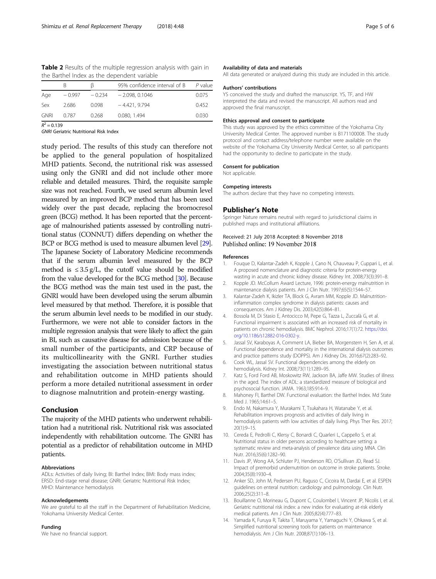<span id="page-4-0"></span>Table 2 Results of the multiple regression analysis with gain in the Barthel Index as the dependent variable

|      | B        | 13       | 95% confidence interval of B | P value |
|------|----------|----------|------------------------------|---------|
| Age  | $-0.997$ | $-0.234$ | $-2.098, 0.1046$             | 0.075   |
| Sex  | 2.686    | 0.098    | $-4.421, 9.794$              | 0.452   |
| GNRI | 0.787    | 0.268    | 0.080, 1.494                 | 0.030   |

 $R^2 = 0.139$ 

GNRI Geriatric Nutritional Risk Index

study period. The results of this study can therefore not be applied to the general population of hospitalized MHD patients. Second, the nutritional risk was assessed using only the GNRI and did not include other more reliable and detailed measures. Third, the requisite sample size was not reached. Fourth, we used serum albumin level measured by an improved BCP method that has been used widely over the past decade, replacing the bromocresol green (BCG) method. It has been reported that the percentage of malnourished patients assessed by controlling nutritional status (CONNUT) differs depending on whether the BCP or BCG method is used to measure albumen level [\[29](#page-5-0)]. The Japanese Society of Laboratory Medicine recommends that if the serum albumin level measured by the BCP method is  $\leq 3.5 \frac{g}{L}$ , the cutoff value should be modified from the value developed for the BCG method [[30\]](#page-5-0). Because the BCG method was the main test used in the past, the GNRI would have been developed using the serum albumin level measured by that method. Therefore, it is possible that the serum albumin level needs to be modified in our study. Furthermore, we were not able to consider factors in the multiple regression analysis that were likely to affect the gain in BI, such as causative disease for admission because of the small number of the participants, and CRP because of its multicollinearity with the GNRI. Further studies investigating the association between nutritional status and rehabilitation outcome in MHD patients should perform a more detailed nutritional assessment in order to diagnose malnutrition and protein-energy wasting.

#### Conclusion

The majority of the MHD patients who underwent rehabilitation had a nutritional risk. Nutritional risk was associated independently with rehabilitation outcome. The GNRI has potential as a predictor of rehabilitation outcome in MHD patients.

#### Abbreviations

ADLs: Activities of daily living; BI: Barthel Index; BMI: Body mass index; ERSD: End-stage renal disease; GNRI: Geriatric Nutritional Risk Index; MHD: Maintenance hemodialysis

#### Acknowledgements

We are grateful to all the staff in the Department of Rehabilitation Medicine, Yokohama University Medical Center.

#### Funding

We have no financial support.

#### Availability of data and materials

All data generated or analyzed during this study are included in this article.

#### Authors' contributions

YS conceived the study and drafted the manuscript. YS, TF, and HW interpreted the data and revised the manuscript. All authors read and approved the final manuscript.

#### Ethics approval and consent to participate

This study was approved by the ethics committee of the Yokohama City University Medical Center. The approved number is B171100008. The study protocol and contact address/telephone number were available on the website of the Yokohama City University Medical Center, so all participants had the opportunity to decline to participate in the study.

#### Consent for publication

Not applicable.

#### Competing interests

The authors declare that they have no competing interests.

#### Publisher's Note

Springer Nature remains neutral with regard to jurisdictional claims in published maps and institutional affiliations.

#### Received: 21 July 2018 Accepted: 8 November 2018 Published online: 19 November 2018

#### References

- 1. Fouque D, Kalantar-Zadeh K, Kopple J, Cano N, Chauveau P, Cuppari L, et al. A proposed nomenclature and diagnostic criteria for protein-energy wasting in acute and chronic kidney disease. Kidney Int. 2008;73(3):391–8.
- 2. Kopple JD. McCollum Award Lecture, 1996: protein-energy malnutrition in maintenance dialysis patients. Am J Clin Nutr. 1997;65(5):1544–57.
- 3. Kalantar-Zadeh K, Ikizler TA, Block G, Avram MM, Kopple JD. Malnutritioninflammation complex syndrome in dialysis patients: causes and consequences. Am J Kidney Dis. 2003;42(5):864–81.
- 4. Bossola M, Di Stasio E, Antocicco M, Pepe G, Tazza L, Zuccalà G, et al. Functional impairment is associated with an increased risk of mortality in patients on chronic hemodialysis. BMC Nephrol. 2016;17(1):72. [https://doi.](https://doi.org/10.1186/s12882-016-0302-y.) [org/10.1186/s12882-016-0302-y.](https://doi.org/10.1186/s12882-016-0302-y.)
- 5. Jassal SV, Karaboyas A, Comment LA, Bieber BA, Morgenstern H, Sen A, et al. Functional dependence and mortality in the international dialysis outcomes and practice patterns study (DOPPS). Am J Kidney Dis. 2016;67(2):283–92.
- 6. Cook WL, Jassal SV. Functional dependencies among the elderly on hemodialysis. Kidney Int. 2008;73(11):1289–95.
- 7. Katz S, Ford Ford AB, Moskowitz RW, Jackson BA, Jaffe MW. Studies of illness in the aged. The index of ADL: a standardized measure of biological and psychosocial function. JAMA. 1963;185:914–9.
- 8. Mahoney FI, Barthel DW. Functional evaluation: the Barthel Index. Md State Med J. 1965;14:61–5.
- 9. Endo M, Nakamura Y, Murakami T, Tsukahara H, Watanabe Y, et al. Rehabilitation improves prognosis and activities of daily living in hemodialysis patients with low activities of daily living. Phys Ther Res. 2017; 20(1):9–15.
- 10. Cereda E, Pedrolli C, Klersy C, Bonardi C, Quarleri L, Cappello S, et al. Nutritional status in older persons according to healthcare setting: a systematic review and meta-analysis of prevalence data using MNA. Clin Nutr. 2016;35(6):1282–90.
- 11. Davis JP, Wong AA, Schluter PJ, Henderson RD, O'Sullivan JD, Read SJ. Impact of premorbid undernutrition on outcome in stroke patients. Stroke. 2004;35(8):1930–4.
- 12. Anker SD, John M, Pedersen PU, Raguso C, Cicoira M, Dardai E, et al. ESPEN guidelines on enteral nutrition: cardiology and pulmonology. Clin Nutr. 2006;25(2):311–8.
- 13. Bouillanne O, Morineau G, Dupont C, Coulombel I, Vincent JP, Nicolis I, et al. Geriatric nutritional risk index: a new index for evaluating at-risk elderly medical patients. Am J Clin Nutr. 2005;82(4):777–83.
- 14. Yamada K, Furuya R, Takita T, Maruyama Y, Yamaguchi Y, Ohkawa S, et al. Simplified nutritional screening tools for patients on maintenance hemodialysis. Am J Clin Nutr. 2008;87(1):106–13.